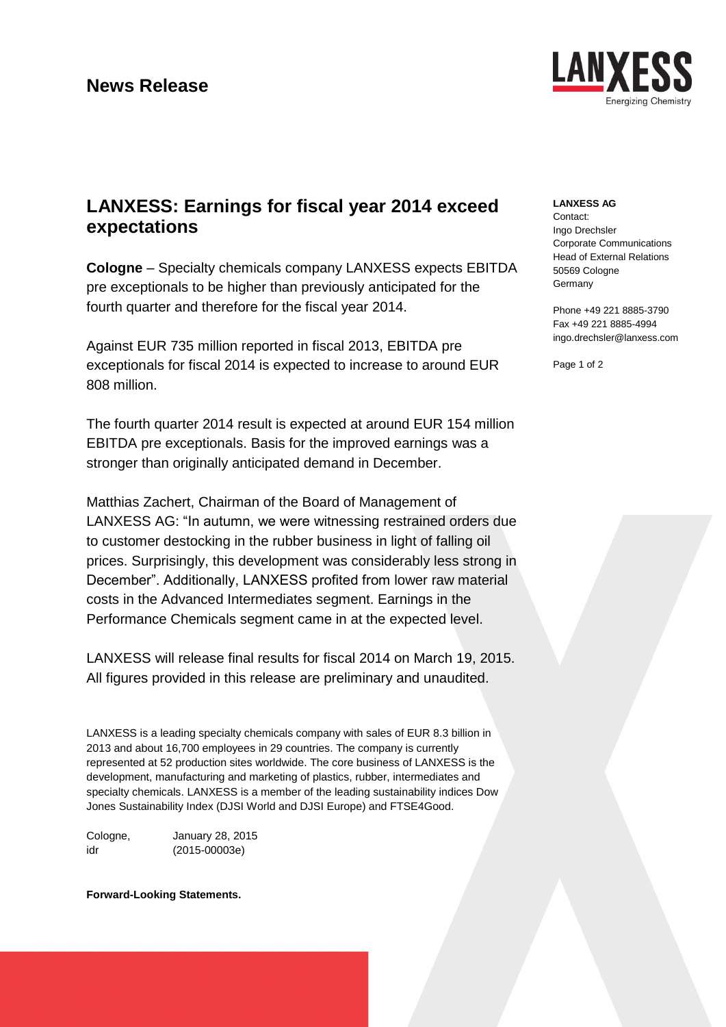### **News Release**



# **LANXESS: Earnings for fiscal year 2014 exceed expectations**

**Cologne** – Specialty chemicals company LANXESS expects EBITDA pre exceptionals to be higher than previously anticipated for the fourth quarter and therefore for the fiscal year 2014.

Against EUR 735 million reported in fiscal 2013, EBITDA pre exceptionals for fiscal 2014 is expected to increase to around EUR 808 million.

The fourth quarter 2014 result is expected at around EUR 154 million EBITDA pre exceptionals. Basis for the improved earnings was a stronger than originally anticipated demand in December.

Matthias Zachert, Chairman of the Board of Management of LANXESS AG: "In autumn, we were witnessing restrained orders due to customer destocking in the rubber business in light of falling oil prices. Surprisingly, this development was considerably less strong in December". Additionally, LANXESS profited from lower raw material costs in the Advanced Intermediates segment. Earnings in the Performance Chemicals segment came in at the expected level.

LANXESS will release final results for fiscal 2014 on March 19, 2015. All figures provided in this release are preliminary and unaudited.

LANXESS is a leading specialty chemicals company with sales of EUR 8.3 billion in 2013 and about 16,700 employees in 29 countries. The company is currently represented at 52 production sites worldwide. The core business of LANXESS is the development, manufacturing and marketing of plastics, rubber, intermediates and specialty chemicals. LANXESS is a member of the leading sustainability indices Dow Jones Sustainability Index (DJSI World and DJSI Europe) and FTSE4Good.

Cologne, January 28, 2015 idr (2015-00003e)

### **Forward-Looking Statements.**

#### **LANXESS AG**

Contact: Ingo Drechsler Corporate Communications Head of External Relations 50569 Cologne **Germany** 

Phone +49 221 8885-3790 Fax +49 221 8885-4994 ingo.drechsler@lanxess.com

Page 1 of 2